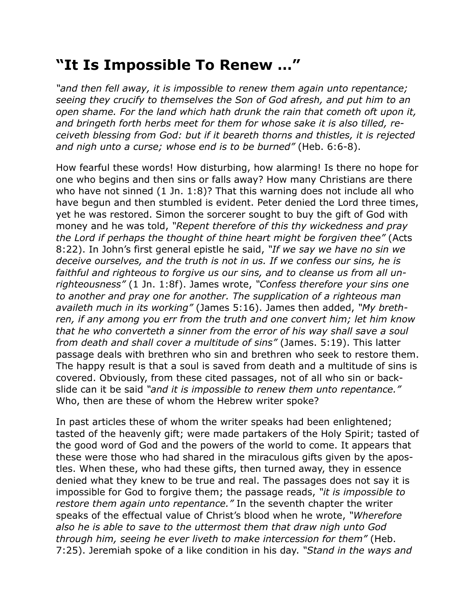## **"It Is Impossible To Renew …"**

*"and then fell away, it is impossible to renew them again unto repentance; seeing they crucify to themselves the Son of God afresh, and put him to an open shame. For the land which hath drunk the rain that cometh oft upon it, and bringeth forth herbs meet for them for whose sake it is also tilled, receiveth blessing from God: but if it beareth thorns and thistles, it is rejected and nigh unto a curse; whose end is to be burned"* (Heb. 6:6-8).

How fearful these words! How disturbing, how alarming! Is there no hope for one who begins and then sins or falls away? How many Christians are there who have not sinned (1 Jn. 1:8)? That this warning does not include all who have begun and then stumbled is evident. Peter denied the Lord three times, yet he was restored. Simon the sorcerer sought to buy the gift of God with money and he was told, *"Repent therefore of this thy wickedness and pray the Lord if perhaps the thought of thine heart might be forgiven thee"* (Acts 8:22). In John's first general epistle he said, *"If we say we have no sin we deceive ourselves, and the truth is not in us. If we confess our sins, he is faithful and righteous to forgive us our sins, and to cleanse us from all unrighteousness"* (1 Jn. 1:8f). James wrote, *"Confess therefore your sins one to another and pray one for another. The supplication of a righteous man availeth much in its working"* (James 5:16). James then added, *"My brethren, if any among you err from the truth and one convert him; let him know that he who converteth a sinner from the error of his way shall save a soul from death and shall cover a multitude of sins"* (James. 5:19). This latter passage deals with brethren who sin and brethren who seek to restore them. The happy result is that a soul is saved from death and a multitude of sins is covered. Obviously, from these cited passages, not of all who sin or backslide can it be said *"and it is impossible to renew them unto repentance."* Who, then are these of whom the Hebrew writer spoke?

In past articles these of whom the writer speaks had been enlightened; tasted of the heavenly gift; were made partakers of the Holy Spirit; tasted of the good word of God and the powers of the world to come. It appears that these were those who had shared in the miraculous gifts given by the apostles. When these, who had these gifts, then turned away, they in essence denied what they knew to be true and real. The passages does not say it is impossible for God to forgive them; the passage reads, *"it is impossible to restore them again unto repentance."* In the seventh chapter the writer speaks of the effectual value of Christ's blood when he wrote, *"Wherefore also he is able to save to the uttermost them that draw nigh unto God through him, seeing he ever liveth to make intercession for them"* (Heb. 7:25). Jeremiah spoke of a like condition in his day. *"Stand in the ways and*